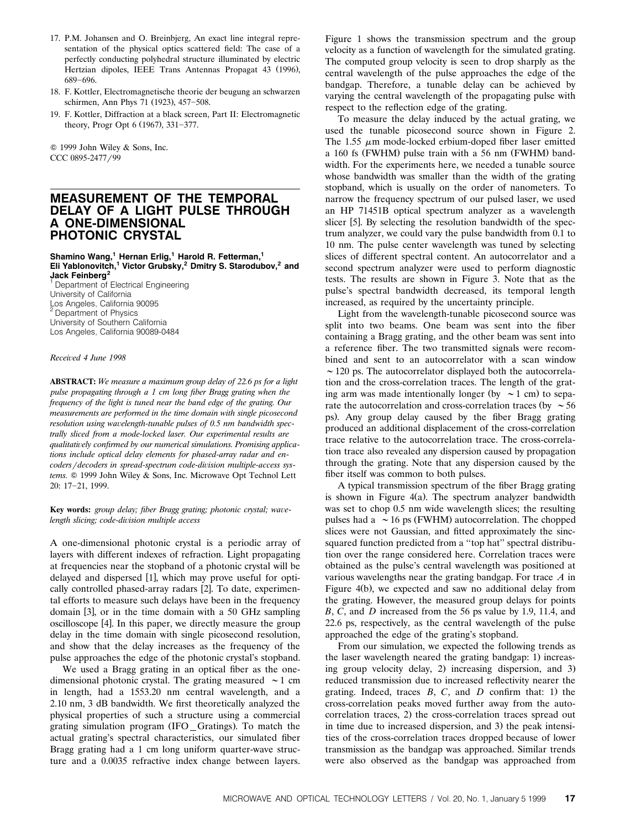- 17. P.M. Johansen and O. Breinbjerg, An exact line integral representation of the physical optics scattered field: The case of a perfectly conducting polyhedral structure illuminated by electric Hertzian dipoles, IEEE Trans Antennas Propagat 43 (1996), 689-696.
- 18. F. Kottler, Electromagnetische theorie der beugung an schwarzen schirmen, Ann Phys 71 (1923), 457-508.
- 19. F. Kottler, Diffraction at a black screen, Part II: Electromagnetic theory, Progr Opt 6 (1967), 331-377.

Q 1999 John Wiley & Sons, Inc. CCC 0895-2477/99

# **MEASUREMENT OF THE TEMPORAL DELAY OF A LIGHT PULSE THROUGH A ONE-DIMENSIONAL PHOTONIC CRYSTAL**

**Shamino Wang,<sup>1</sup> Hernan Erlig,<sup>1</sup> Harold R. Fetterman,<sup>1</sup> Eli Yablonovitch,1 Victor Grubsky,<sup>2</sup> Dmitry S. Starodubov,<sup>2</sup> and Jack Feinberg<sup>2</sup>**

<sup>1</sup> Department of Electrical Engineering University of California Los Angeles, California 90095 <sup>2</sup> Department of Physics University of Southern California Los Angeles, California 90089-0484

### *Recei*¨*ed 4 June 1998*

**ABSTRACT:** *We measure a maximum group delay of 22.6 ps for a light pulse propagating through a 1 cm long fiber Bragg grating when the frequency of the light is tuned near the band edge of the grating. Our measurements are performed in the time domain with single picosecond resolution using wavelength-tunable pulses of 0.5 nm bandwidth spectrally sliced from a mode-locked laser. Our experimental results are qualitati*¨*ely confirmed by our numerical simulations. Promising applications include optical delay elements for phased-array radar and encoders*/*decoders in spread-spectrum code-division multiple-access sys*tems.  $©$  1999 John Wiley & Sons, Inc. Microwave Opt Technol Lett 20: 17-21, 1999.

Key words: *group delay; fiber Bragg grating; photonic crystal; wavelength slicing; code-division multiple access* 

A one-dimensional photonic crystal is a periodic array of layers with different indexes of refraction. Light propagating at frequencies near the stopband of a photonic crystal will be delayed and dispersed [1], which may prove useful for optically controlled phased-array radars [2]. To date, experimental efforts to measure such delays have been in the frequency domain  $[3]$ , or in the time domain with a 50 GHz sampling oscilloscope [4]. In this paper, we directly measure the group delay in the time domain with single picosecond resolution, and show that the delay increases as the frequency of the pulse approaches the edge of the photonic crystal's stopband.

We used a Bragg grating in an optical fiber as the onedimensional photonic crystal. The grating measured  $\sim$  1 cm in length, had a 1553.20 nm central wavelength, and a 2.10 nm, 3 dB bandwidth. We first theoretically analyzed the physical properties of such a structure using a commercial grating simulation program (IFO\_Gratings). To match the actual grating's spectral characteristics, our simulated fiber Bragg grating had a 1 cm long uniform quarter-wave structure and a 0.0035 refractive index change between layers. Figure 1 shows the transmission spectrum and the group velocity as a function of wavelength for the simulated grating. The computed group velocity is seen to drop sharply as the central wavelength of the pulse approaches the edge of the bandgap. Therefore, a tunable delay can be achieved by varying the central wavelength of the propagating pulse with respect to the reflection edge of the grating.

To measure the delay induced by the actual grating, we used the tunable picosecond source shown in Figure 2. The 1.55  $\mu$ m mode-locked erbium-doped fiber laser emitted a 160 fs (FWHM) pulse train with a 56 nm (FWHM) bandwidth. For the experiments here, we needed a tunable source whose bandwidth was smaller than the width of the grating stopband, which is usually on the order of nanometers. To narrow the frequency spectrum of our pulsed laser, we used an HP 71451B optical spectrum analyzer as a wavelength slicer [5]. By selecting the resolution bandwidth of the spectrum analyzer, we could vary the pulse bandwidth from 0.1 to 10 nm. The pulse center wavelength was tuned by selecting slices of different spectral content. An autocorrelator and a second spectrum analyzer were used to perform diagnostic tests. The results are shown in Figure 3. Note that as the pulse's spectral bandwidth decreased, its temporal length increased, as required by the uncertainty principle.

Light from the wavelength-tunable picosecond source was split into two beams. One beam was sent into the fiber containing a Bragg grating, and the other beam was sent into a reference fiber. The two transmitted signals were recombined and sent to an autocorrelator with a scan window  $\sim$  120 ps. The autocorrelator displayed both the autocorrelation and the cross-correlation traces. The length of the grating arm was made intentionally longer (by  $\sim$  1 cm) to separate the autocorrelation and cross-correlation traces (by  $\sim$  56 ps). Any group delay caused by the fiber Bragg grating produced an additional displacement of the cross-correlation trace relative to the autocorrelation trace. The cross-correlation trace also revealed any dispersion caused by propagation through the grating. Note that any dispersion caused by the fiber itself was common to both pulses.

A typical transmission spectrum of the fiber Bragg grating is shown in Figure  $4(a)$ . The spectrum analyzer bandwidth was set to chop 0.5 nm wide wavelength slices; the resulting pulses had a  $\sim$  16 ps (FWHM) autocorrelation. The chopped slices were not Gaussian, and fitted approximately the sincsquared function predicted from a ''top hat'' spectral distribution over the range considered here. Correlation traces were obtained as the pulse's central wavelength was positioned at various wavelengths near the grating bandgap. For trace *A* in Figure 4(b), we expected and saw no additional delay from the grating. However, the measured group delays for points *B*, *C*, and *D* increased from the 56 ps value by 1.9, 11.4, and 22.6 ps, respectively, as the central wavelength of the pulse approached the edge of the grating's stopband.

From our simulation, we expected the following trends as the laser wavelength neared the grating bandgap: 1) increasing group velocity delay, 2) increasing dispersion, and 3) reduced transmission due to increased reflectivity nearer the grating. Indeed, traces  $B$ ,  $C$ , and  $D$  confirm that: 1) the cross-correlation peaks moved further away from the autocorrelation traces, 2) the cross-correlation traces spread out in time due to increased dispersion, and 3) the peak intensities of the cross-correlation traces dropped because of lower transmission as the bandgap was approached. Similar trends were also observed as the bandgap was approached from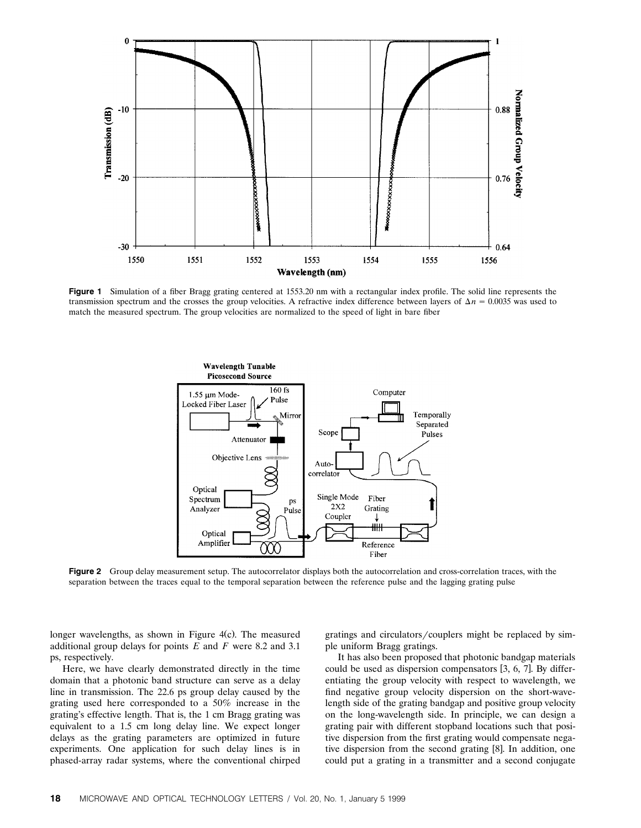

Figure 1 Simulation of a fiber Bragg grating centered at 1553.20 nm with a rectangular index profile. The solid line represents the transmission spectrum and the crosses the group velocities. A refractive index difference between layers of  $\Delta n = 0.0035$  was used to match the measured spectrum. The group velocities are normalized to the speed of light in bare fiber



**Figure 2** Group delay measurement setup. The autocorrelator displays both the autocorrelation and cross-correlation traces, with the separation between the traces equal to the temporal separation between the reference pulse and the lagging grating pulse

longer wavelengths, as shown in Figure  $4(c)$ . The measured additional group delays for points *E* and *F* were 8.2 and 3.1 ps, respectively.

Here, we have clearly demonstrated directly in the time domain that a photonic band structure can serve as a delay line in transmission. The 22.6 ps group delay caused by the grating used here corresponded to a 50% increase in the grating's effective length. That is, the 1 cm Bragg grating was equivalent to a 1.5 cm long delay line. We expect longer delays as the grating parameters are optimized in future experiments. One application for such delay lines is in phased-array radar systems, where the conventional chirped gratings and circulators/couplers might be replaced by simple uniform Bragg gratings.

It has also been proposed that photonic bandgap materials could be used as dispersion compensators  $[3, 6, 7]$ . By differentiating the group velocity with respect to wavelength, we find negative group velocity dispersion on the short-wavelength side of the grating bandgap and positive group velocity on the long-wavelength side. In principle, we can design a grating pair with different stopband locations such that positive dispersion from the first grating would compensate negative dispersion from the second grating [8]. In addition, one could put a grating in a transmitter and a second conjugate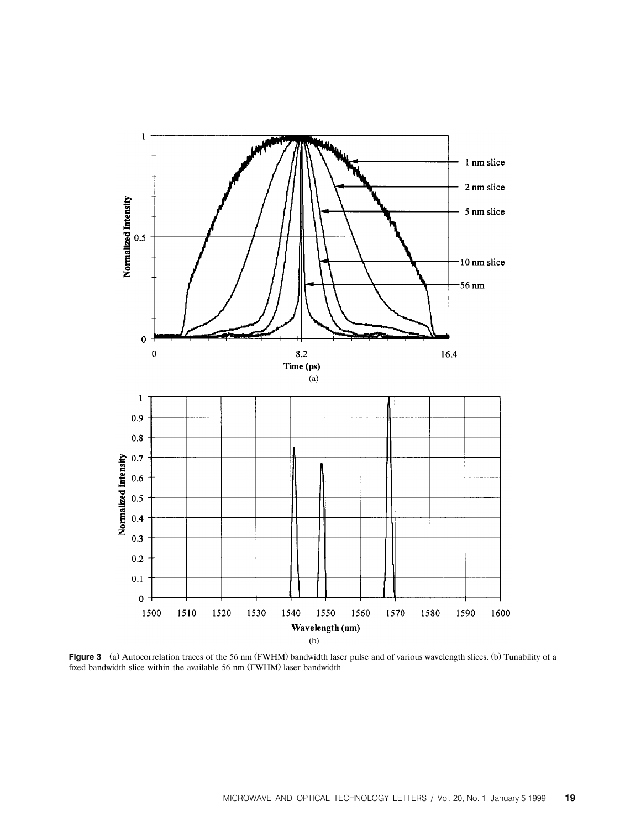

Figure 3 (a) Autocorrelation traces of the 56 nm (FWHM) bandwidth laser pulse and of various wavelength slices. (b) Tunability of a fixed bandwidth slice within the available 56 nm (FWHM) laser bandwidth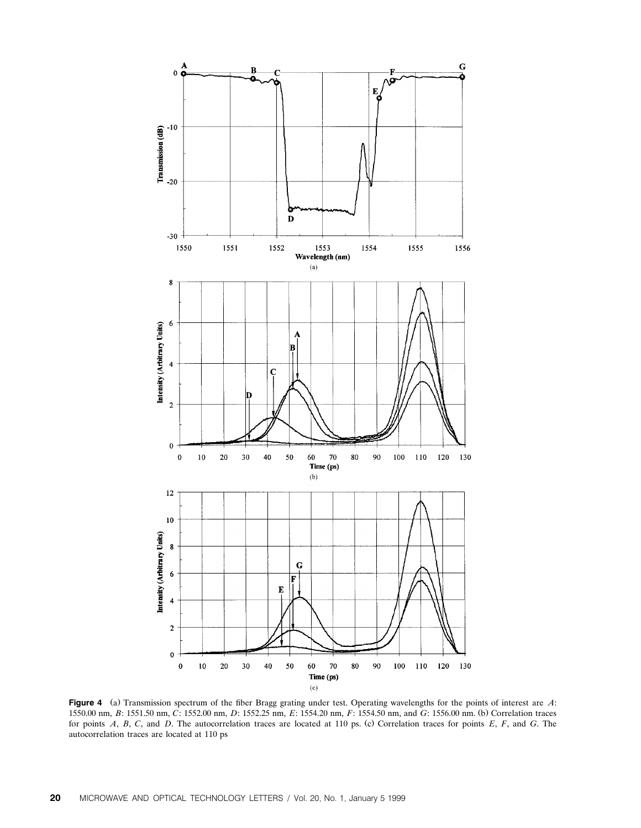

**Figure 4** (a) Transmission spectrum of the fiber Bragg grating under test. Operating wavelengths for the points of interest are *A*: 1550.00 nm, *B*: 1551.50 nm, *C*: 1552.00 nm, *D*: 1552.25 nm, *E*: 1554.20 nm, *F*: 1554.50 nm, and *G*: 1556.00 nm. (b) Correlation traces for points *A*, *B*, *C*, and *D*. The autocorrelation traces are located at 110 ps. (c) Correlation traces for points *E*, *F*, and *G*. The autocorrelation traces are located at 110 ps